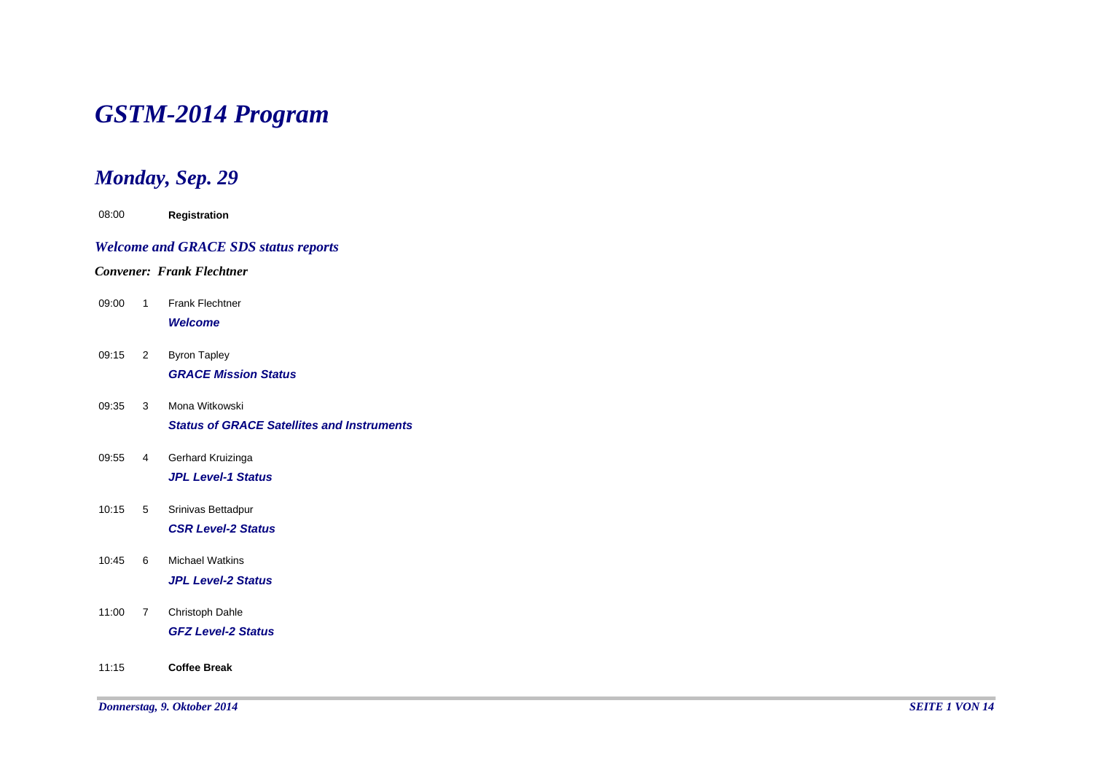# *GSTM-2014 Program*

# *Monday, Sep. 29*

| 08:00 |                | Registration                                                        |
|-------|----------------|---------------------------------------------------------------------|
|       |                | <b>Welcome and GRACE SDS status reports</b>                         |
|       |                | <b>Convener: Frank Flechtner</b>                                    |
| 09:00 | 1              | <b>Frank Flechtner</b><br><b>Welcome</b>                            |
| 09:15 | $\overline{2}$ | <b>Byron Tapley</b><br><b>GRACE Mission Status</b>                  |
| 09:35 | 3              | Mona Witkowski<br><b>Status of GRACE Satellites and Instruments</b> |
| 09:55 | 4              | Gerhard Kruizinga<br><b>JPL Level-1 Status</b>                      |
| 10:15 | 5              | Srinivas Bettadpur<br><b>CSR Level-2 Status</b>                     |
| 10:45 | 6              | <b>Michael Watkins</b><br><b>JPL Level-2 Status</b>                 |
| 11:00 | $\overline{7}$ | Christoph Dahle<br><b>GFZ Level-2 Status</b>                        |
| 11:15 |                | <b>Coffee Break</b>                                                 |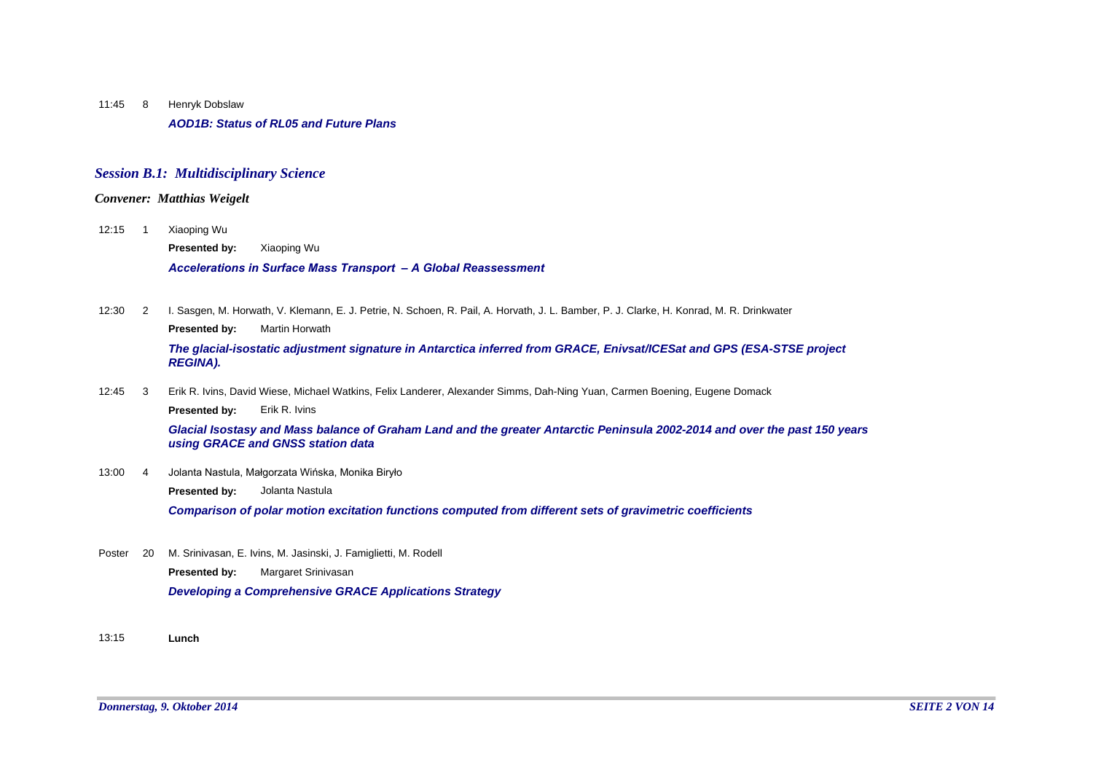Henryk Dobslaw *AOD1B: Status of RL05 and Future Plans* 11:45 8

### *Session B.1: Multidisciplinary Science*

## *Convener: Matthias Weigelt*

Xiaoping Wu  $12:15$  1

**Presented by:** Xiaoping Wu

*Accelerations in Surface Mass Transport – A Global Reassessment*

12:30 I. Sasgen, M. Horwath, V. Klemann, E. J. Petrie, N. Schoen, R. Pail, A. Horvath, J. L. Bamber, P. J. Clarke, H. Konrad, M. R. Drinkwater **Presented by:** Martin Horwath  $12:30$  2

*The glacial-isostatic adjustment signature in Antarctica inferred from GRACE, Enivsat/ICESat and GPS (ESA-STSE project REGINA).*

12:45 Erik R. Ivins, David Wiese, Michael Watkins, Felix Landerer, Alexander Simms, Dah-Ning Yuan, Carmen Boening, Eugene Domack  $12:45$  3

**Presented by:** Erik R. Ivins

*Glacial Isostasy and Mass balance of Graham Land and the greater Antarctic Peninsula 2002-2014 and over the past 150 years using GRACE and GNSS station data*

13:00 Jolanta Nastula, Małgorzata Wińska, Monika Biryło 4

**Presented by:** Jolanta Nastula

*Comparison of polar motion excitation functions computed from different sets of gravimetric coefficients*

- M. Srinivasan, E. Ivins, M. Jasinski, J. Famiglietti, M. Rodell *Developing a Comprehensive GRACE Applications Strategy* **Presented by:** Margaret Srinivasan Poster 20
- 13:15 **Lunch**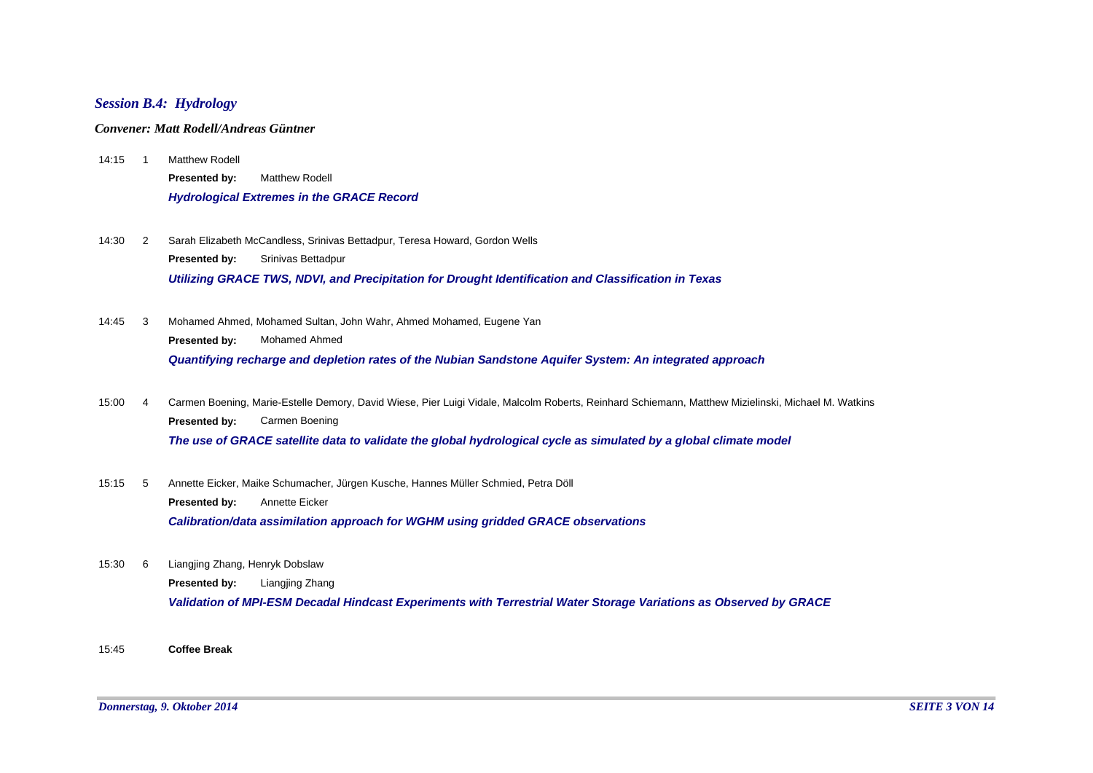# *Session B.4: Hydrology*

#### *Convener: Matt Rodell/Andreas Güntner*

- Matthew Rodell *Hydrological Extremes in the GRACE Record* **Presented by:** Matthew Rodell  $14:15$  1
- 14:30 Sarah Elizabeth McCandless, Srinivas Bettadpur, Teresa Howard, Gordon Wells *Utilizing GRACE TWS, NDVI, and Precipitation for Drought Identification and Classification in Texas* **Presented by:** Srinivas Bettadpur  $14:30$  2
- 14:45 Mohamed Ahmed, Mohamed Sultan, John Wahr, Ahmed Mohamed, Eugene Yan *Quantifying recharge and depletion rates of the Nubian Sandstone Aquifer System: An integrated approach* **Presented by:** Mohamed Ahmed  $14.45 \quad 3$
- 15:00 Carmen Boening, Marie-Estelle Demory, David Wiese, Pier Luigi Vidale, Malcolm Roberts, Reinhard Schiemann, Matthew Mizielinski, Michael M. Watkins *The use of GRACE satellite data to validate the global hydrological cycle as simulated by a global climate model* **Presented by:** Carmen Boening 15:00 4
- 15:15 Annette Eicker, Maike Schumacher, Jürgen Kusche, Hannes Müller Schmied, Petra Döll *Calibration/data assimilation approach for WGHM using gridded GRACE observations* **Presented by:** Annette Eicker  $15:15$  5
- 15:30 Liangjing Zhang, Henryk Dobslaw 6

**Presented by:** Liangjing Zhang

*Validation of MPI-ESM Decadal Hindcast Experiments with Terrestrial Water Storage Variations as Observed by GRACE*

15:45 **Coffee Break**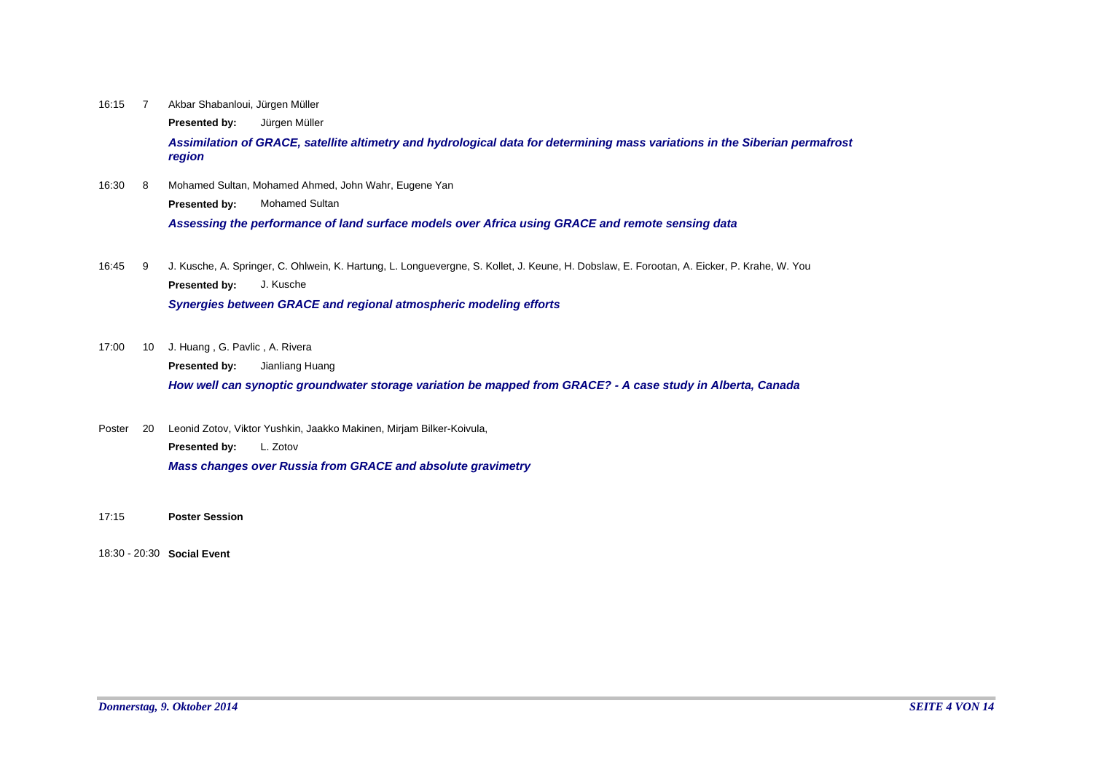16:15 Akbar Shabanloui, Jürgen Müller 16:15 7

**Presented by:** Jürgen Müller

*Assimilation of GRACE, satellite altimetry and hydrological data for determining mass variations in the Siberian permafrost region*

16:30 Mohamed Sultan, Mohamed Ahmed, John Wahr, Eugene Yan **Presented by:** Mohamed Sultan  $16:30$  8

*Assessing the performance of land surface models over Africa using GRACE and remote sensing data*

16:45 J. Kusche, A. Springer, C. Ohlwein, K. Hartung, L. Longuevergne, S. Kollet, J. Keune, H. Dobslaw, E. Forootan, A. Eicker, P. Krahe, W. You **Presented by:** J. Kusche 16:45 9

*Synergies between GRACE and regional atmospheric modeling efforts*

17:00 10 J. Huang, G. Pavlic, A. Rivera

**Presented by:** Jianliang Huang

*How well can synoptic groundwater storage variation be mapped from GRACE? - A case study in Alberta, Canada*

Poster 20 Leonid Zotov, Viktor Yushkin, Jaakko Makinen, Mirjam Bilker-Koivula, *Mass changes over Russia from GRACE and absolute gravimetry* **Presented by:** L. Zotov

- 17:15 **Poster Session**
- 18:30 20:30 **Social Event**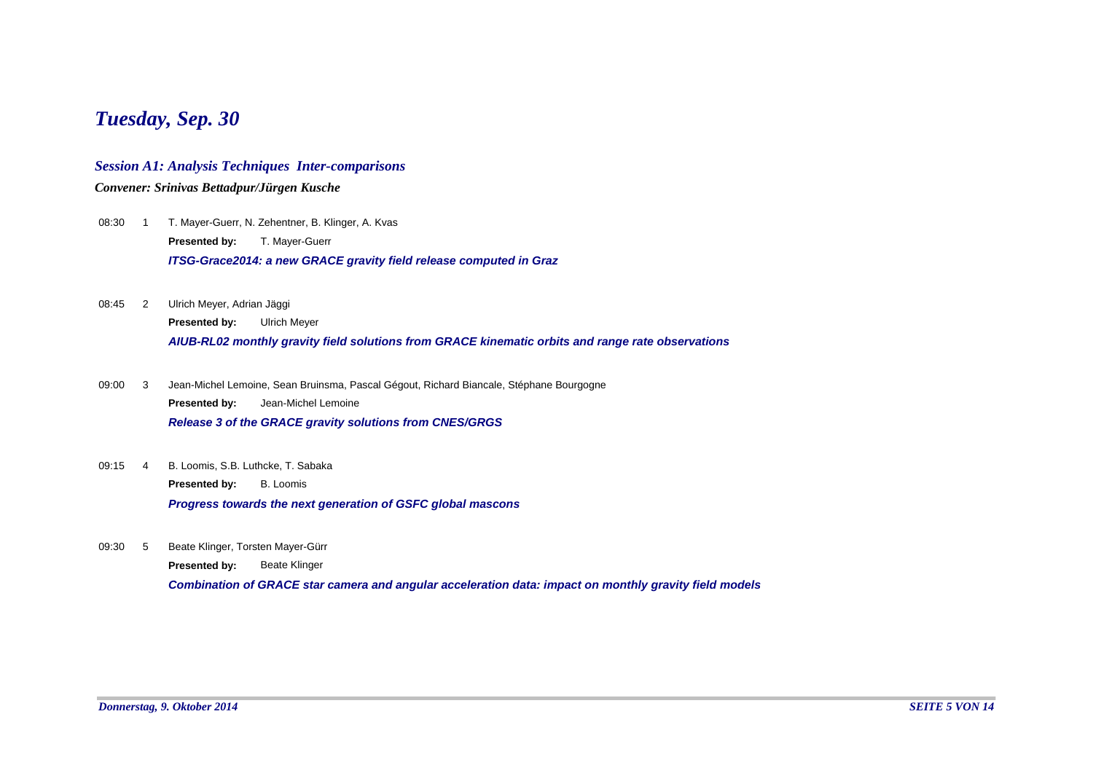# *Tuesday, Sep. 30*

# *Session A1: Analysis Techniques Inter-comparisons*

*Convener: Srinivas Bettadpur/Jürgen Kusche*

- T. Mayer-Guerr, N. Zehentner, B. Klinger, A. Kvas *ITSG-Grace2014: a new GRACE gravity field release computed in Graz* **Presented by:** T. Mayer-Guerr 08:30 1
- Ulrich Meyer, Adrian Jäggi *AIUB-RL02 monthly gravity field solutions from GRACE kinematic orbits and range rate observations* **Presented by:** Ulrich Meyer 08:45 2
- Jean-Michel Lemoine, Sean Bruinsma, Pascal Gégout, Richard Biancale, Stéphane Bourgogne *Release 3 of the GRACE gravity solutions from CNES/GRGS* **Presented by:** Jean-Michel Lemoine 09:00 3
- B. Loomis, S.B. Luthcke, T. Sabaka 09:15 4

**Presented by:** B. Loomis

*Progress towards the next generation of GSFC global mascons*

09:30 Beate Klinger, Torsten Mayer-Gürr 09:30 5

**Presented by:** Beate Klinger

*Combination of GRACE star camera and angular acceleration data: impact on monthly gravity field models*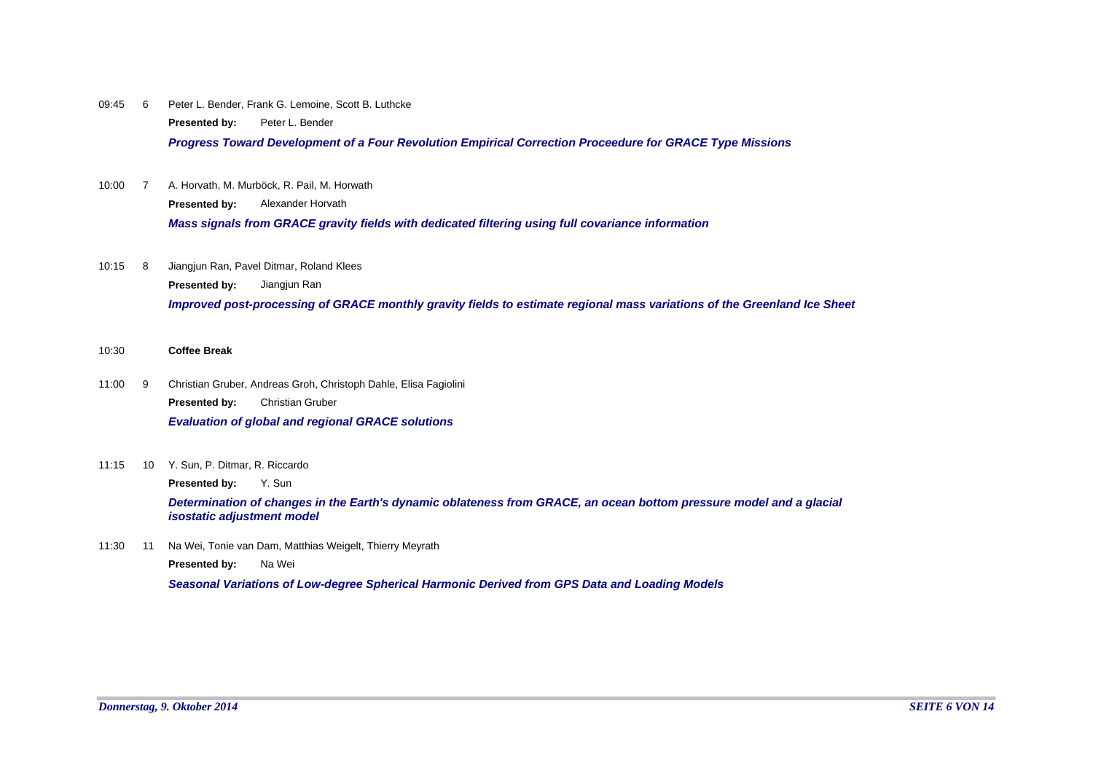09:45 6 Peter L. Bender, Frank G. Lemoine, Scott B. Luthcke **Presented by:** Peter L. Bender

*Progress Toward Development of a Four Revolution Empirical Correction Proceedure for GRACE Type Missions*

- 10:00 7 A. Horvath, M. Murböck, R. Pail, M. Horwath *Mass signals from GRACE gravity fields with dedicated filtering using full covariance information* **Presented by:** Alexander Horvath
- Jiangjun Ran, Pavel Ditmar, Roland Klees *Improved post-processing of GRACE monthly gravity fields to estimate regional mass variations of the Greenland Ice Sheet* **Presented by:** Jiangjun Ran 10:15 8
- 10:30 **Coffee Break**
- 11:00 Christian Gruber, Andreas Groh, Christoph Dahle, Elisa Fagiolini *Evaluation of global and regional GRACE solutions* **Presented by:** Christian Gruber  $11:00$  9
- 11:15 10 Y. Sun, P. Ditmar, R. Riccardo

**Presented by:** Y. Sun

*Determination of changes in the Earth's dynamic oblateness from GRACE, an ocean bottom pressure model and a glacial isostatic adjustment model*

11:30 11 Na Wei, Tonie van Dam, Matthias Weigelt, Thierry Meyrath

**Presented by:** Na Wei

*Seasonal Variations of Low-degree Spherical Harmonic Derived from GPS Data and Loading Models*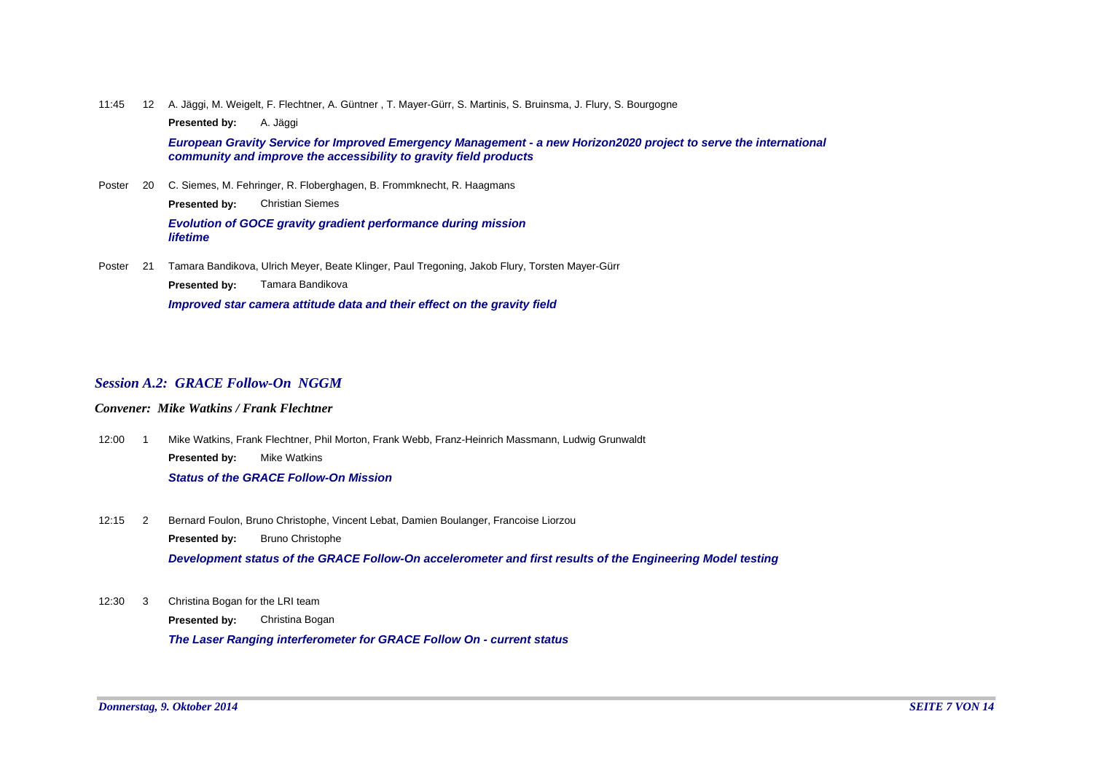11:45 A. Jäggi, M. Weigelt, F. Flechtner, A. Güntner , T. Mayer-Gürr, S. Martinis, S. Bruinsma, J. Flury, S. Bourgogne 12

**Presented by:** A. Jäggi

*European Gravity Service for Improved Emergency Management - a new Horizon2020 project to serve the international community and improve the accessibility to gravity field products*

Poster 20 C. Siemes, M. Fehringer, R. Floberghagen, B. Frommknecht, R. Haagmans *Evolution of GOCE gravity gradient performance during mission lifetime* **Presented by:** Christian Siemes

Poster 21 Tamara Bandikova, Ulrich Meyer, Beate Klinger, Paul Tregoning, Jakob Flury, Torsten Mayer-Gürr *Improved star camera attitude data and their effect on the gravity field* **Presented by:** Tamara Bandikova

#### *Session A.2: GRACE Follow-On NGGM*

#### *Convener: Mike Watkins / Frank Flechtner*

- 12:00 Mike Watkins, Frank Flechtner, Phil Morton, Frank Webb, Franz-Heinrich Massmann, Ludwig Grunwaldt *Status of the GRACE Follow-On Mission* **Presented by:** Mike Watkins  $12:00 \t 1$
- Bernard Foulon, Bruno Christophe, Vincent Lebat, Damien Boulanger, Francoise Liorzou *Development status of the GRACE Follow-On accelerometer and first results of the Engineering Model testing* **Presented by:** Bruno Christophe  $12:15$  2
- Christina Bogan for the LRI team  $12:30 \t3$

**Presented by:** Christina Bogan

*The Laser Ranging interferometer for GRACE Follow On - current status*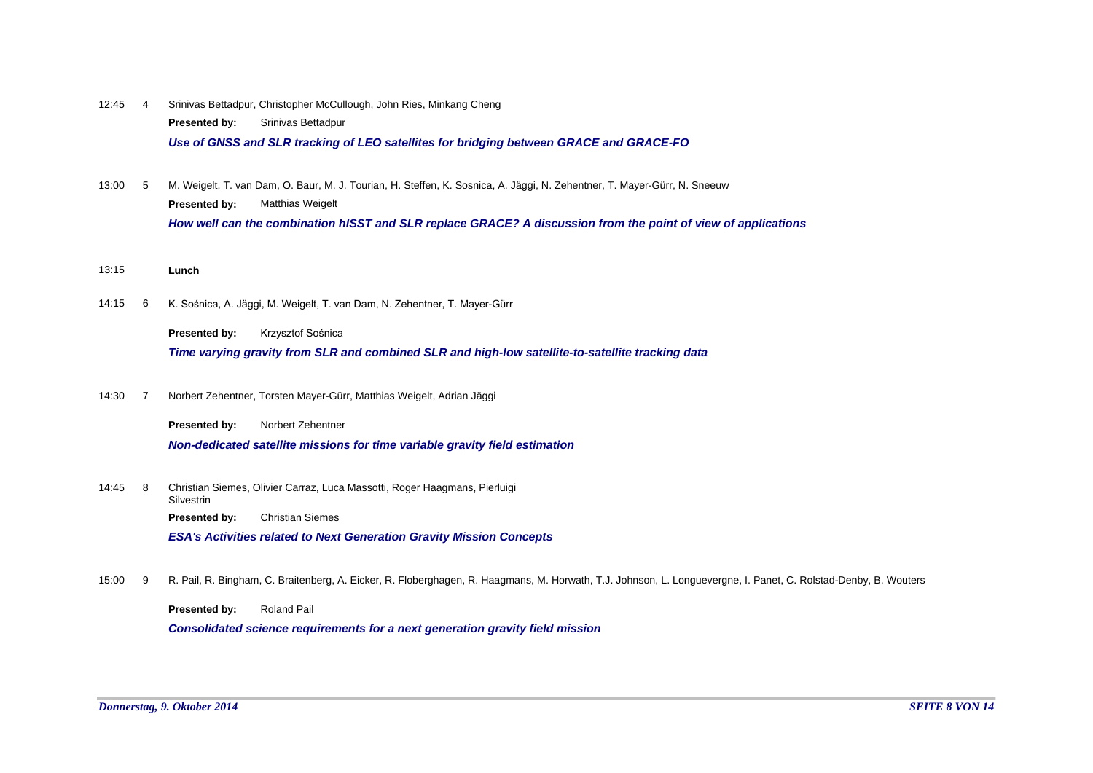- 12:45 4 Srinivas Bettadpur, Christopher McCullough, John Ries, Minkang Cheng *Use of GNSS and SLR tracking of LEO satellites for bridging between GRACE and GRACE-FO* **Presented by:** Srinivas Bettadpur
- 13:00 M. Weigelt, T. van Dam, O. Baur, M. J. Tourian, H. Steffen, K. Sosnica, A. Jäggi, N. Zehentner, T. Mayer-Gürr, N. Sneeuw *How well can the combination hlSST and SLR replace GRACE? A discussion from the point of view of applications* **Presented by:** Matthias Weigelt  $13:00$  5
- 13:15 **Lunch**
- K. Sośnica, A. Jäggi, M. Weigelt, T. van Dam, N. Zehentner, T. Mayer-Gürr  $14:15$  6

**Presented by:** Krzysztof Sośnica

*Time varying gravity from SLR and combined SLR and high-low satellite-to-satellite tracking data*

14:30 Norbert Zehentner, Torsten Mayer-Gürr, Matthias Weigelt, Adrian Jäggi  $14:30$  7

**Presented by:** Norbert Zehentner

*Non-dedicated satellite missions for time variable gravity field estimation*

14:45 Christian Siemes, Olivier Carraz, Luca Massotti, Roger Haagmans, Pierluigi Silvestrin 14:45 8

**Presented by:** Christian Siemes

*ESA's Activities related to Next Generation Gravity Mission Concepts*

R. Pail, R. Bingham, C. Braitenberg, A. Eicker, R. Floberghagen, R. Haagmans, M. Horwath, T.J. Johnson, L. Longuevergne, I. Panet, C. Rolstad-Denby, B. Wouters 15:00 9

**Presented by:** Roland Pail

*Consolidated science requirements for a next generation gravity field mission*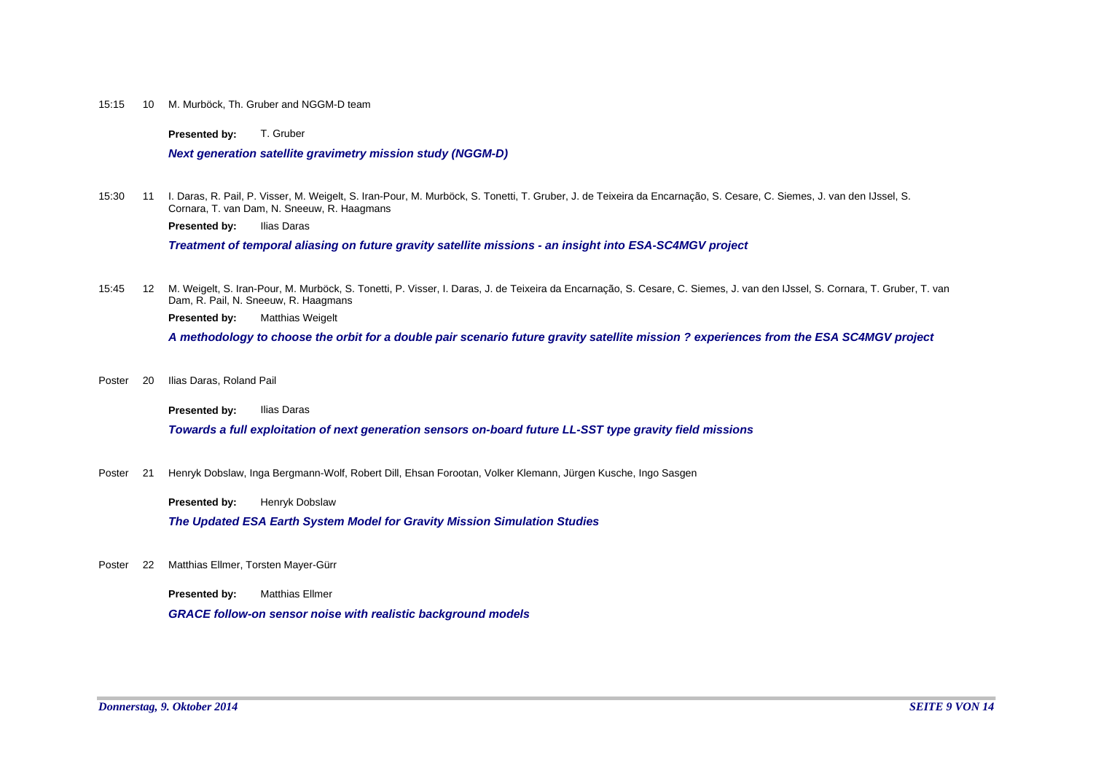#### 15:15 10 M. Murböck, Th. Gruber and NGGM-D team

**Presented by:** T. Gruber

*Next generation satellite gravimetry mission study (NGGM-D)*

15:30 11 I. Daras, R. Pail, P. Visser, M. Weigelt, S. Iran-Pour, M. Murböck, S. Tonetti, T. Gruber, J. de Teixeira da Encarnação, S. Cesare, C. Siemes, J. van den IJssel, S. Cornara, T. van Dam, N. Sneeuw, R. Haagmans

**Presented by:** Ilias Daras

*Treatment of temporal aliasing on future gravity satellite missions - an insight into ESA-SC4MGV project*

15:45 12 M. Weigelt, S. Iran-Pour, M. Murböck, S. Tonetti, P. Visser, I. Daras, J. de Teixeira da Encarnação, S. Cesare, C. Siemes, J. van den IJssel, S. Cornara, T. Gruber, T. van Dam, R. Pail, N. Sneeuw, R. Haagmans

**Presented by:** Matthias Weigelt

*A methodology to choose the orbit for a double pair scenario future gravity satellite mission ? experiences from the ESA SC4MGV project*

Ilias Daras, Roland Pail Poster 20

**Presented by:** Ilias Daras

*Towards a full exploitation of next generation sensors on-board future LL-SST type gravity field missions*

Henryk Dobslaw, Inga Bergmann-Wolf, Robert Dill, Ehsan Forootan, Volker Klemann, Jürgen Kusche, Ingo Sasgen Poster 21

**Presented by:** Henryk Dobslaw

*The Updated ESA Earth System Model for Gravity Mission Simulation Studies*

Poster 22 Matthias Ellmer, Torsten Mayer-Gürr

**Presented by:** Matthias Ellmer

*GRACE follow-on sensor noise with realistic background models*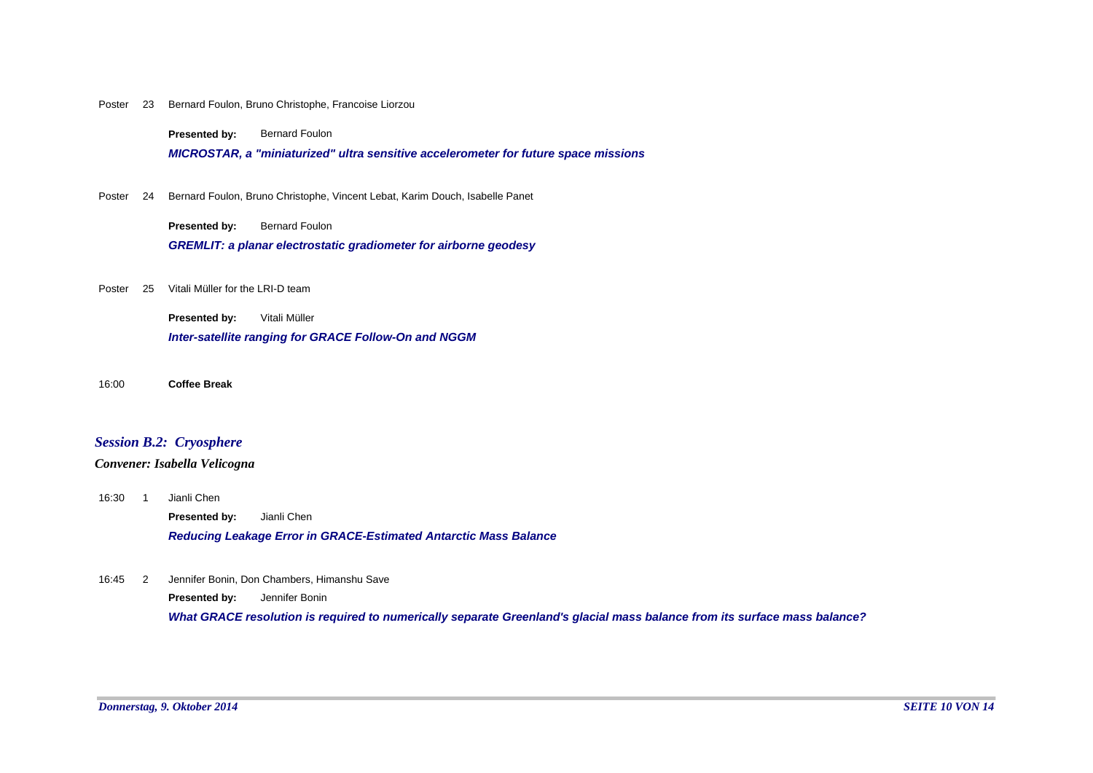#### Poster 23 Bernard Foulon, Bruno Christophe, Francoise Liorzou

**Presented by:** Bernard Foulon

*MICROSTAR, a "miniaturized" ultra sensitive accelerometer for future space missions*

Poster 24 Bernard Foulon, Bruno Christophe, Vincent Lebat, Karim Douch, Isabelle Panet

**Presented by:** Bernard Foulon

*GREMLIT: a planar electrostatic gradiometer for airborne geodesy*

Poster 25 Vitali Müller for the LRI-D team

*Inter-satellite ranging for GRACE Follow-On and NGGM* **Presented by:** Vitali Müller

16:00 **Coffee Break**

# *Session B.2: Cryosphere*

#### *Convener: Isabella Velicogna*

16:30 1 Jianli Chen

**Presented by:** Jianli Chen

*Reducing Leakage Error in GRACE-Estimated Antarctic Mass Balance*

Jennifer Bonin, Don Chambers, Himanshu Save 16:45 2

**Presented by:** Jennifer Bonin

*What GRACE resolution is required to numerically separate Greenland's glacial mass balance from its surface mass balance?*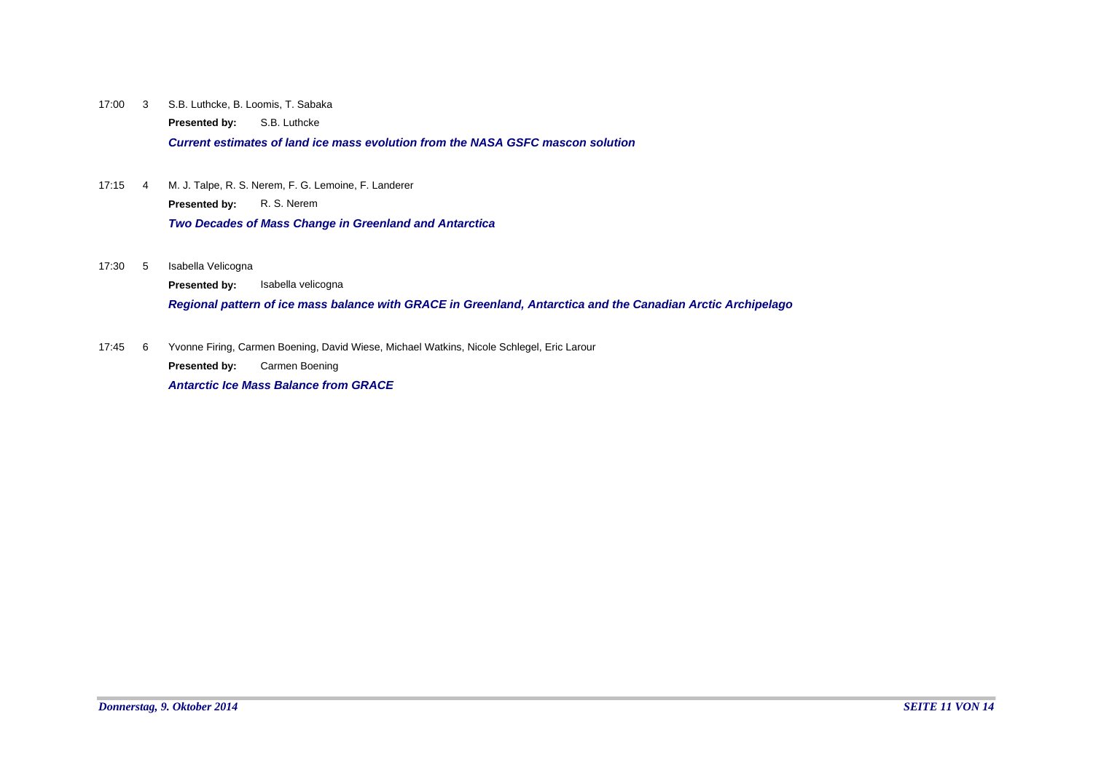17:00 S.B. Luthcke, B. Loomis, T. Sabaka 3

**Presented by:** S.B. Luthcke

*Current estimates of land ice mass evolution from the NASA GSFC mascon solution*

- 17:15 4 M. J. Talpe, R. S. Nerem, F. G. Lemoine, F. Landerer *Two Decades of Mass Change in Greenland and Antarctica* **Presented by:** R. S. Nerem
- Isabella Velicogna 17:30 5

**Presented by:** Isabella velicogna

*Regional pattern of ice mass balance with GRACE in Greenland, Antarctica and the Canadian Arctic Archipelago*

Yvonne Firing, Carmen Boening, David Wiese, Michael Watkins, Nicole Schlegel, Eric Larour 17:45 6

**Presented by:** Carmen Boening

*Antarctic Ice Mass Balance from GRACE*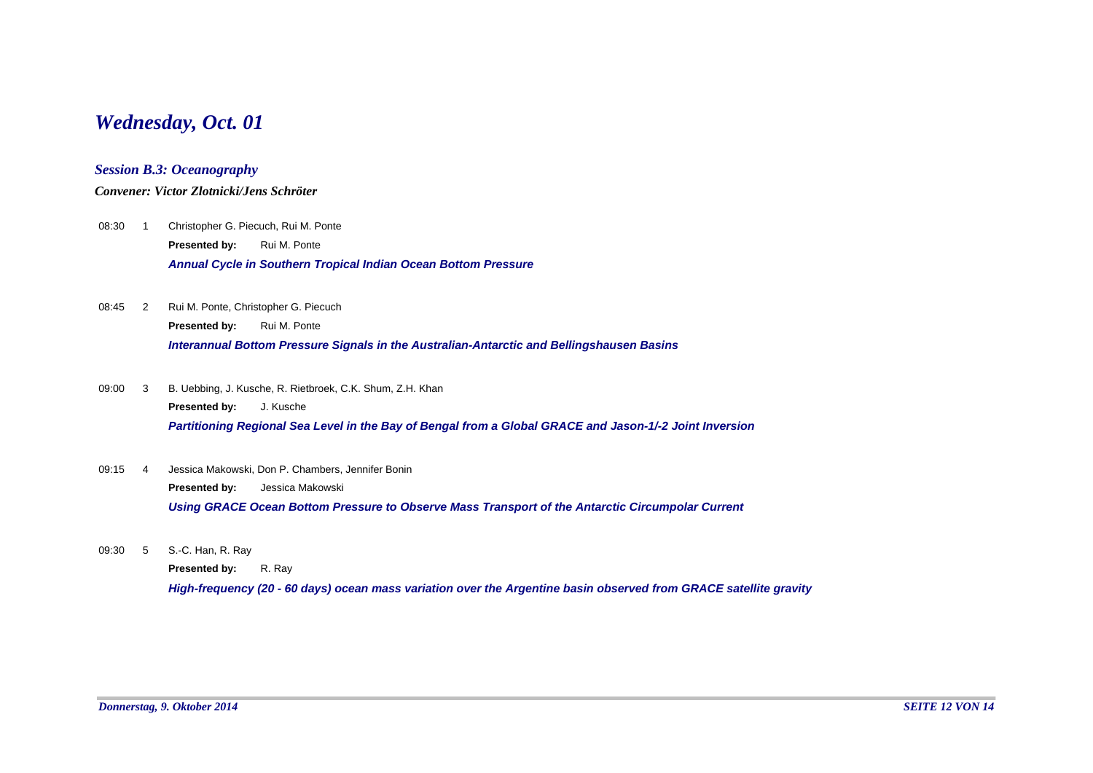# *Wednesday, Oct. 01*

## *Session B.3: Oceanography*

### *Convener: Victor Zlotnicki/Jens Schröter*

- 08:30 1 Christopher G. Piecuch, Rui M. Ponte *Annual Cycle in Southern Tropical Indian Ocean Bottom Pressure* **Presented by:** Rui M. Ponte
- 08:45 2 Rui M. Ponte, Christopher G. Piecuch *Interannual Bottom Pressure Signals in the Australian-Antarctic and Bellingshausen Basins* **Presented by:** Rui M. Ponte
- 09:00 B. Uebbing, J. Kusche, R. Rietbroek, C.K. Shum, Z.H. Khan *Partitioning Regional Sea Level in the Bay of Bengal from a Global GRACE and Jason-1/-2 Joint Inversion* **Presented by:** J. Kusche 09:00 3
- Jessica Makowski, Don P. Chambers, Jennifer Bonin *Using GRACE Ocean Bottom Pressure to Observe Mass Transport of the Antarctic Circumpolar Current* **Presented by:** Jessica Makowski 09:15 4
- 09:30 5 S.-C. Han, R. Ray

**Presented by:** R. Ray

*High-frequency (20 - 60 days) ocean mass variation over the Argentine basin observed from GRACE satellite gravity*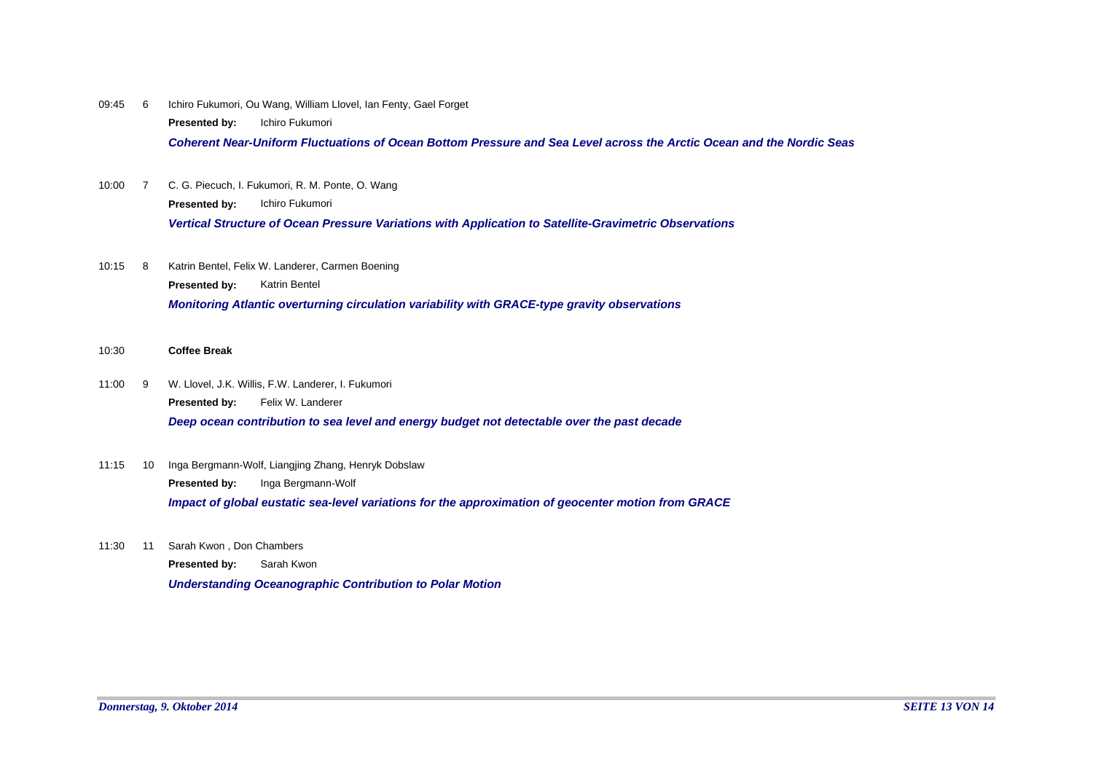09:45 6 Ichiro Fukumori, Ou Wang, William Llovel, Ian Fenty, Gael Forget **Presented by:** Ichiro Fukumori

*Coherent Near-Uniform Fluctuations of Ocean Bottom Pressure and Sea Level across the Arctic Ocean and the Nordic Seas*

- 10:00 7 C. G. Piecuch, I. Fukumori, R. M. Ponte, O. Wang *Vertical Structure of Ocean Pressure Variations with Application to Satellite-Gravimetric Observations* **Presented by:** Ichiro Fukumori
- Katrin Bentel, Felix W. Landerer, Carmen Boening *Monitoring Atlantic overturning circulation variability with GRACE-type gravity observations* **Presented by:** Katrin Bentel 10:15 8
- 10:30 **Coffee Break**
- W. Llovel, J.K. Willis, F.W. Landerer, I. Fukumori *Deep ocean contribution to sea level and energy budget not detectable over the past decade* **Presented by:** Felix W. Landerer  $11:00$  9
- 11:15 10 Inga Bergmann-Wolf, Liangjing Zhang, Henryk Dobslaw *Impact of global eustatic sea-level variations for the approximation of geocenter motion from GRACE* **Presented by:** Inga Bergmann-Wolf
- 11:30 11 Sarah Kwon, Don Chambers

*Understanding Oceanographic Contribution to Polar Motion* **Presented by:** Sarah Kwon